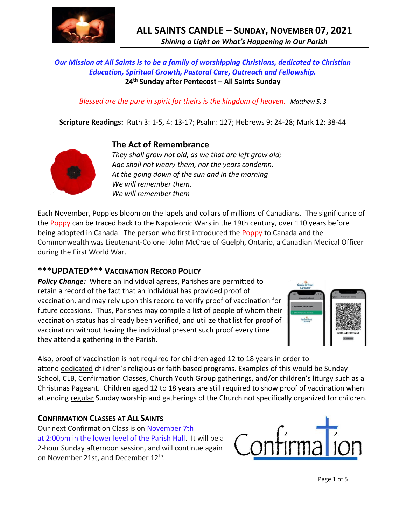

*Our Mission at All Saints is to be a family of worshipping Christians, dedicated to Christian Education, Spiritual Growth, Pastoral Care, Outreach and Fellowship.* **24 th Sunday after Pentecost – All Saints Sunday**

*Blessed are the pure in spirit for theirs is the kingdom of heaven. Matthew 5: 3*

**Scripture Readings:** Ruth 3: 1-5, 4: 13-17; Psalm: 127; Hebrews 9: 24-28; Mark 12: 38-44



# **The Act of Remembrance**

*They shall grow not old, as we that are left grow old; Age shall not weary them, nor the years condemn. At the going down of the sun and in the morning We will remember them. We will remember them*

Each November, Poppies bloom on the lapels and collars of millions of Canadians. The significance of the Poppy can be traced back to the Napoleonic Wars in the 19th century, over 110 years before being adopted in Canada. The person who first introduced the Poppy to Canada and the Commonwealth was Lieutenant-Colonel John McCrae of Guelph, Ontario, a Canadian Medical Officer during the First World War.

# **\*\*\*UPDATED\*\*\* VACCINATION RECORD POLICY**

*Policy Change:* Where an individual agrees, Parishes are permitted to retain a record of the fact that an individual has provided proof of vaccination, and may rely upon this record to verify proof of vaccination for future occasions. Thus, Parishes may compile a list of people of whom their vaccination status has already been verified, and utilize that list for proof of vaccination without having the individual present such proof every time they attend a gathering in the Parish.



Also, proof of vaccination is not required for children aged 12 to 18 years in order to attend dedicated children's religious or faith based programs. Examples of this would be Sunday School, CLB, Confirmation Classes, Church Youth Group gatherings, and/or children's liturgy such as a Christmas Pageant. Children aged 12 to 18 years are still required to show proof of vaccination when attending regular Sunday worship and gatherings of the Church not specifically organized for children.

## **CONFIRMATION CLASSES AT ALL SAINTS**

Our next Confirmation Class is on November 7th at 2:00pm in the lower level of the Parish Hall. It will be a 2-hour Sunday afternoon session, and will continue again on November 21st, and December 12<sup>th</sup>.

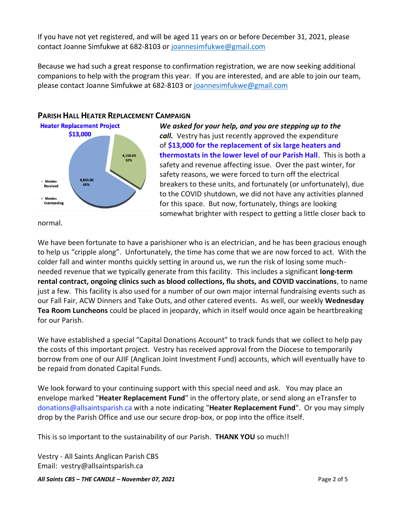If you have not yet registered, and will be aged 11 years on or before December 31, 2021, please contact Joanne Simfukwe at 682-8103 or [joannesimfukwe@gmail.com](mailto:joannesimfukwe@gmail.com)

Because we had such a great response to confirmation registration, we are now seeking additional companions to help with the program this year. If you are interested, and are able to join our team, please contact Joanne Simfukwe at 682-8103 or [joannesimfukwe@gmail.com](mailto:joannesimfukwe@gmail.com)



*We asked for your help, and you are stepping up to the call.* Vestry has just recently approved the expenditure of **\$13,000 for the replacement of six large heaters and thermostats in the lower level of our Parish Hall**. This is both a safety and revenue affecting issue. Over the past winter, for safety reasons, we were forced to turn off the electrical breakers to these units, and fortunately (or unfortunately), due to the COVID shutdown, we did not have any activities planned for this space. But now, fortunately, things are looking somewhat brighter with respect to getting a little closer back to

normal.

We have been fortunate to have a parishioner who is an electrician, and he has been gracious enough to help us "cripple along". Unfortunately, the time has come that we are now forced to act. With the colder fall and winter months quickly setting in around us, we run the risk of losing some muchneeded revenue that we typically generate from this facility. This includes a significant **long-term rental contract, ongoing clinics such as blood collections, flu shots, and COVID vaccinations**, to name just a few. This facility is also used for a number of our own major internal fundraising events such as our Fall Fair, ACW Dinners and Take Outs, and other catered events. As well, our weekly **Wednesday Tea Room Luncheons** could be placed in jeopardy, which in itself would once again be heartbreaking for our Parish.

We have established a special "Capital Donations Account" to track funds that we collect to help pay the costs of this important project. Vestry has received approval from the Diocese to temporarily borrow from one of our AJIF (Anglican Joint Investment Fund) accounts, which will eventually have to be repaid from donated Capital Funds.

We look forward to your continuing support with this special need and ask. You may place an envelope marked "**Heater Replacement Fund**" in the offertory plate, or send along an eTransfer to donations@allsaintsparish.ca with a note indicating "**Heater Replacement Fund**". Or you may simply drop by the Parish Office and use our secure drop-box, or pop into the office itself.

This is so important to the sustainability of our Parish. **THANK YOU** so much!!

Vestry - All Saints Anglican Parish CBS Email: vestry@allsaintsparish.ca

*All Saints CBS – THE CANDLE – November 07, 2021* Page 2 of 5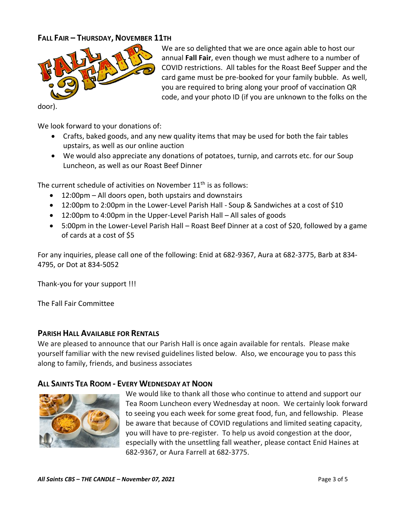### **FALL FAIR – THURSDAY, NOVEMBER 11TH**



door).

We look forward to your donations of:

• Crafts, baked goods, and any new quality items that may be used for both the fair tables upstairs, as well as our online auction

We are so delighted that we are once again able to host our annual **Fall Fair**, even though we must adhere to a number of COVID restrictions. All tables for the Roast Beef Supper and the card game must be pre-booked for your family bubble. As well, you are required to bring along your proof of vaccination QR code, and your photo ID (if you are unknown to the folks on the

• We would also appreciate any donations of potatoes, turnip, and carrots etc. for our Soup Luncheon, as well as our Roast Beef Dinner

The current schedule of activities on November  $11<sup>th</sup>$  is as follows:

- 12:00pm All doors open, both upstairs and downstairs
- 12:00pm to 2:00pm in the Lower-Level Parish Hall Soup & Sandwiches at a cost of \$10
- 12:00pm to 4:00pm in the Upper-Level Parish Hall All sales of goods
- 5:00pm in the Lower-Level Parish Hall Roast Beef Dinner at a cost of \$20, followed by a game of cards at a cost of \$5

For any inquiries, please call one of the following: Enid at 682-9367, Aura at 682-3775, Barb at 834- 4795, or Dot at 834-5052

Thank-you for your support !!!

The Fall Fair Committee

### **PARISH HALL AVAILABLE FOR RENTALS**

We are pleased to announce that our Parish Hall is once again available for rentals. Please make yourself familiar with the new revised guidelines listed below. Also, we encourage you to pass this along to family, friends, and business associates

### **ALL SAINTS TEA ROOM - EVERY WEDNESDAY AT NOON**



We would like to thank all those who continue to attend and support our Tea Room Luncheon every Wednesday at noon. We certainly look forward to seeing you each week for some great food, fun, and fellowship. Please be aware that because of COVID regulations and limited seating capacity, you will have to pre-register. To help us avoid congestion at the door, especially with the unsettling fall weather, please contact Enid Haines at 682-9367, or Aura Farrell at 682-3775.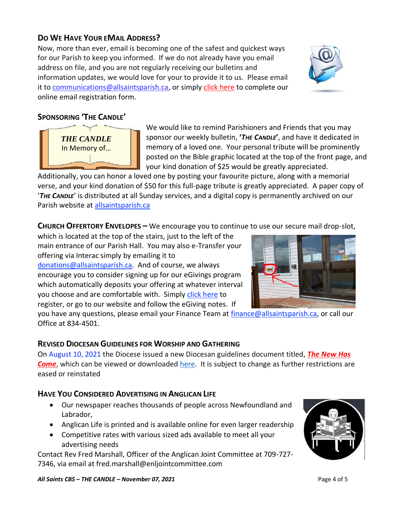# **DO WE HAVE YOUR EMAIL ADDRESS?**

Now, more than ever, email is becoming one of the safest and quickest ways for our Parish to keep you informed. If we do not already have you email address on file, and you are not regularly receiving our bulletins and information updates, we would love for your to provide it to us. Please email it to [communications@allsaintsparish.ca,](mailto:communications@allsaintsparish.ca?subject=eMail%20Address%20Update) or simply [click here](http://allsaintsparish.ca/email_updates) to complete our online email registration form.

# **SPONSORING 'THE CANDLE'**

We would like to remind Parishioners and Friends that you may sponsor our weekly bulletin, **'***THE CANDLE***'**, and have it dedicated in memory of a loved one. Your personal tribute will be prominently posted on the Bible graphic located at the top of the front page, and your kind donation of \$25 would be greatly appreciated.

Additionally, you can honor a loved one by posting your favourite picture, along with a memorial verse, and your kind donation of \$50 for this full-page tribute is greatly appreciated. A paper copy of '*THE CANDLE*' is distributed at all Sunday services, and a digital copy is permanently archived on our Parish website at [allsaintsparish.ca](http://allsaintsparish.ca/thecandle.html)

**CHURCH OFFERTORY ENVELOPES –** We encourage you to continue to use our secure mail drop-slot,

which is located at the top of the stairs, just to the left of the main entrance of our Parish Hall. You may also e-Transfer your offering via Interac simply by emailing it to [donations@allsaintsparish.ca.](mailto:donations@allsaintsparish.ca) And of course, we always encourage you to consider signing up for our eGivings program which automatically deposits your offering at whatever interval you choose and are comfortable with. Simply [click here](http://allsaintsparish.ca/egiving-online-information-form) to register, or go to our website and follow the eGiving notes. If

you have [any](https://wfsites-to.websitecreatorprotool.com/870a5dd5.com/Admin/%7BSK_NODEID__22939341__SK%7D) questions, please email your Finance Team at [finance@allsaintsparish.ca,](mailto:finance@allsaintsparish.ca) or call our Office at 834-4501.

## **REVISED DIOCESAN GUIDELINES FOR WORSHIP AND GATHERING**

On August 10, 2021 the Diocese issued a new Diocesan guidelines document titled, *[The New Has](https://anglicanenl.net/home/wp-content/uploads/2021/08/The-New-Has-Come-August-10-2021.pdf?fbclid=IwAR2_9nhbxB2LEc3XOqAP_nvoRu4G5Mt6NWIYwOEYNI0OtUl0atv2QwCfCY0)  [Come](https://anglicanenl.net/home/wp-content/uploads/2021/08/The-New-Has-Come-August-10-2021.pdf?fbclid=IwAR2_9nhbxB2LEc3XOqAP_nvoRu4G5Mt6NWIYwOEYNI0OtUl0atv2QwCfCY0)*, which can be viewed or downloaded [here.](https://anglicanenl.net/home/wp-content/uploads/2021/08/The-New-Has-Come-August-10-2021.pdf?fbclid=IwAR2_9nhbxB2LEc3XOqAP_nvoRu4G5Mt6NWIYwOEYNI0OtUl0atv2QwCfCY0) It is subject to change as further restrictions are eased or reinstated

# **HAVE YOU CONSIDERED ADVERTISING IN ANGLICAN LIFE**

- Our newspaper reaches thousands of people across Newfoundland and Labrador,
- Anglican Life is printed and is available online for even larger readership
- Competitive rates with various sized ads available to meet all your advertising needs

Contact Rev Fred Marshall, Officer of the Anglican Joint Committee at 709-727- 7346, via email at fred.marshall@enljointcommittee.com